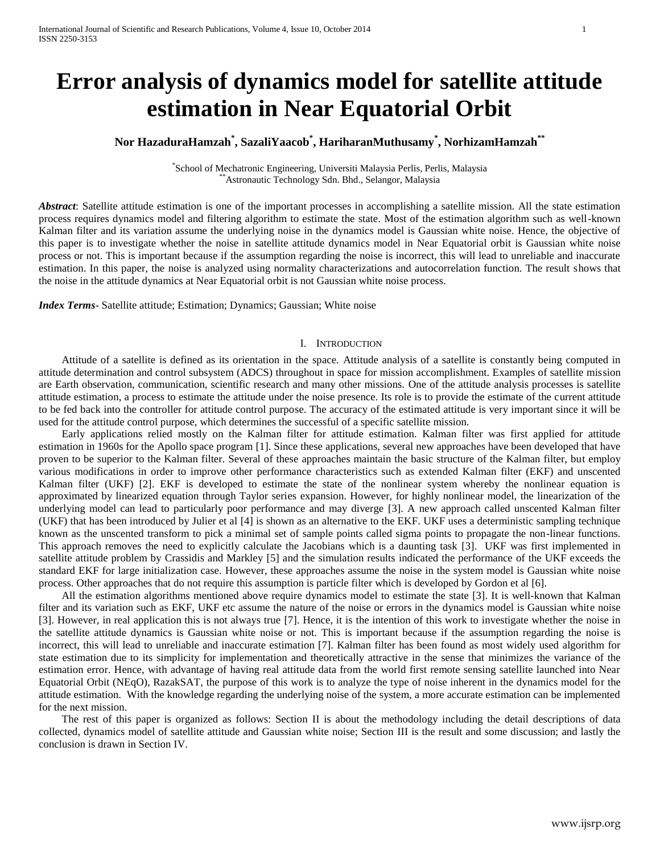# **Error analysis of dynamics model for satellite attitude estimation in Near Equatorial Orbit**

# **Nor HazaduraHamzah\* , SazaliYaacob\* , HariharanMuthusamy\* , NorhizamHamzah\*\***

\* School of Mechatronic Engineering, Universiti Malaysia Perlis, Perlis, Malaysia \*\*Astronautic Technology Sdn. Bhd., Selangor, Malaysia

*Abstract*: Satellite attitude estimation is one of the important processes in accomplishing a satellite mission. All the state estimation process requires dynamics model and filtering algorithm to estimate the state. Most of the estimation algorithm such as well-known Kalman filter and its variation assume the underlying noise in the dynamics model is Gaussian white noise. Hence, the objective of this paper is to investigate whether the noise in satellite attitude dynamics model in Near Equatorial orbit is Gaussian white noise process or not. This is important because if the assumption regarding the noise is incorrect, this will lead to unreliable and inaccurate estimation. In this paper, the noise is analyzed using normality characterizations and autocorrelation function. The result shows that the noise in the attitude dynamics at Near Equatorial orbit is not Gaussian white noise process.

*Index Terms*- Satellite attitude; Estimation; Dynamics; Gaussian; White noise

# I. INTRODUCTION

Attitude of a satellite is defined as its orientation in the space. Attitude analysis of a satellite is constantly being computed in attitude determination and control subsystem (ADCS) throughout in space for mission accomplishment. Examples of satellite mission are Earth observation, communication, scientific research and many other missions. One of the attitude analysis processes is satellite attitude estimation, a process to estimate the attitude under the noise presence. Its role is to provide the estimate of the current attitude to be fed back into the controller for attitude control purpose. The accuracy of the estimated attitude is very important since it will be used for the attitude control purpose, which determines the successful of a specific satellite mission.

Early applications relied mostly on the Kalman filter for attitude estimation. Kalman filter was first applied for attitude estimation in 1960s for the Apollo space program [1]. Since these applications, several new approaches have been developed that have proven to be superior to the Kalman filter. Several of these approaches maintain the basic structure of the Kalman filter, but employ various modifications in order to improve other performance characteristics such as extended Kalman filter (EKF) and unscented Kalman filter (UKF) [2]. EKF is developed to estimate the state of the nonlinear system whereby the nonlinear equation is approximated by linearized equation through Taylor series expansion. However, for highly nonlinear model, the linearization of the underlying model can lead to particularly poor performance and may diverge [3]. A new approach called unscented Kalman filter (UKF) that has been introduced by Julier et al [4] is shown as an alternative to the EKF. UKF uses a deterministic sampling technique known as the unscented transform to pick a minimal set of sample points called sigma points to propagate the non-linear functions. This approach removes the need to explicitly calculate the Jacobians which is a daunting task [3]. UKF was first implemented in satellite attitude problem by Crassidis and Markley [5] and the simulation results indicated the performance of the UKF exceeds the standard EKF for large initialization case. However, these approaches assume the noise in the system model is Gaussian white noise process. Other approaches that do not require this assumption is particle filter which is developed by Gordon et al [6].

All the estimation algorithms mentioned above require dynamics model to estimate the state [3]. It is well-known that Kalman filter and its variation such as EKF, UKF etc assume the nature of the noise or errors in the dynamics model is Gaussian white noise [3]. However, in real application this is not always true [7]. Hence, it is the intention of this work to investigate whether the noise in the satellite attitude dynamics is Gaussian white noise or not. This is important because if the assumption regarding the noise is incorrect, this will lead to unreliable and inaccurate estimation [7]. Kalman filter has been found as most widely used algorithm for state estimation due to its simplicity for implementation and theoretically attractive in the sense that minimizes the variance of the estimation error. Hence, with advantage of having real attitude data from the world first remote sensing satellite launched into Near Equatorial Orbit (NEqO), RazakSAT, the purpose of this work is to analyze the type of noise inherent in the dynamics model for the attitude estimation. With the knowledge regarding the underlying noise of the system, a more accurate estimation can be implemented for the next mission.

The rest of this paper is organized as follows: Section II is about the methodology including the detail descriptions of data collected, dynamics model of satellite attitude and Gaussian white noise; Section III is the result and some discussion; and lastly the conclusion is drawn in Section IV.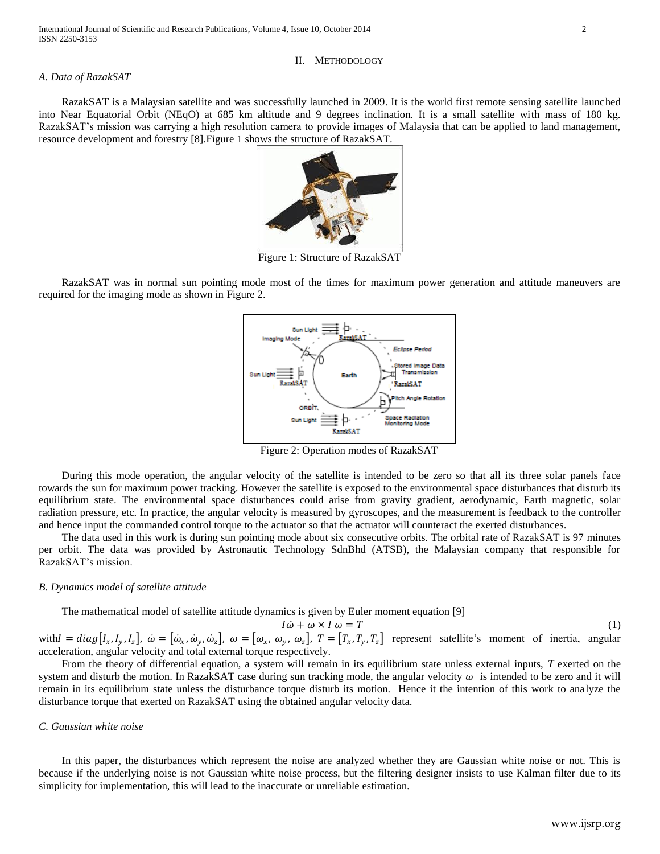### II. METHODOLOGY

#### *A. Data of RazakSAT*

RazakSAT is a Malaysian satellite and was successfully launched in 2009. It is the world first remote sensing satellite launched into Near Equatorial Orbit (NEqO) at 685 km altitude and 9 degrees inclination. It is a small satellite with mass of 180 kg. RazakSAT's mission was carrying a high resolution camera to provide images of Malaysia that can be applied to land management, resource development and forestry [8].Figure 1 shows the structure of RazakSAT.



Figure 1: Structure of RazakSAT

RazakSAT was in normal sun pointing mode most of the times for maximum power generation and attitude maneuvers are required for the imaging mode as shown in Figure 2.



Figure 2: Operation modes of RazakSAT

During this mode operation, the angular velocity of the satellite is intended to be zero so that all its three solar panels face towards the sun for maximum power tracking. However the satellite is exposed to the environmental space disturbances that disturb its equilibrium state. The environmental space disturbances could arise from gravity gradient, aerodynamic, Earth magnetic, solar radiation pressure, etc. In practice, the angular velocity is measured by gyroscopes, and the measurement is feedback to the controller and hence input the commanded control torque to the actuator so that the actuator will counteract the exerted disturbances.

The data used in this work is during sun pointing mode about six consecutive orbits. The orbital rate of RazakSAT is 97 minutes per orbit. The data was provided by Astronautic Technology SdnBhd (ATSB), the Malaysian company that responsible for RazakSAT's mission.

### *B. Dynamics model of satellite attitude*

The mathematical model of satellite attitude dynamics is given by Euler moment equation [9]

$$
I\dot{\omega} + \omega \times I\omega = T \tag{1}
$$

with  $I = diag[I_x, I_y, I_z]$ ,  $\dot{\omega} = [\dot{\omega}_x, \dot{\omega}_y, \dot{\omega}_z]$ ,  $\omega = [\omega_x, \omega_y, \omega_z]$ ,  $T = [T_x, T_y, T_z]$  represent satellite's moment of inertia, angular acceleration, angular velocity and total external torque respectively.

From the theory of differential equation, a system will remain in its equilibrium state unless external inputs, *T* exerted on the system and disturb the motion. In RazakSAT case during sun tracking mode, the angular velocity  $\omega$  is intended to be zero and it will remain in its equilibrium state unless the disturbance torque disturb its motion. Hence it the intention of this work to analyze the disturbance torque that exerted on RazakSAT using the obtained angular velocity data.

# *C. Gaussian white noise*

In this paper, the disturbances which represent the noise are analyzed whether they are Gaussian white noise or not. This is because if the underlying noise is not Gaussian white noise process, but the filtering designer insists to use Kalman filter due to its simplicity for implementation, this will lead to the inaccurate or unreliable estimation.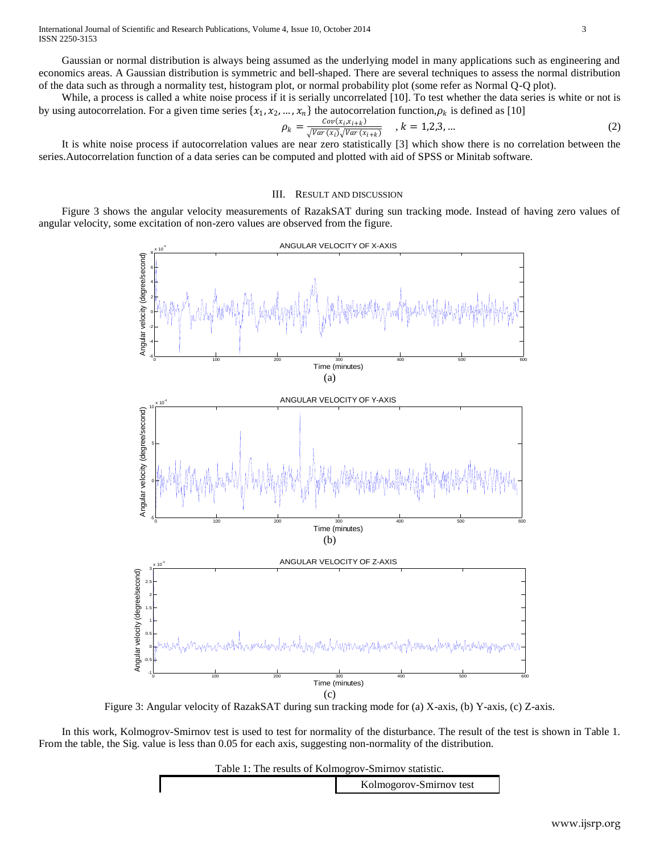International Journal of Scientific and Research Publications, Volume 4, Issue 10, October 2014 3 ISSN 2250-3153

Gaussian or normal distribution is always being assumed as the underlying model in many applications such as engineering and economics areas. A Gaussian distribution is symmetric and bell-shaped. There are several techniques to assess the normal distribution of the data such as through a normality test, histogram plot, or normal probability plot (some refer as Normal Q-Q plot).

While, a process is called a white noise process if it is serially uncorrelated [10]. To test whether the data series is white or not is by using autocorrelation. For a given time series  $\{x_1, x_2, ..., x_n\}$  the autocorrelation function,  $\rho_k$  is defined as [10]

$$
\rho_k = \frac{\text{Cov}(x_i, x_{i+k})}{\sqrt{\text{Var}(x_i)}\sqrt{\text{Var}(x_{i+k})}}, \quad k = 1, 2, 3, \dots
$$
\n<sup>(2)</sup>

It is white noise process if autocorrelation values are near zero statistically [3] which show there is no correlation between the series.Autocorrelation function of a data series can be computed and plotted with aid of SPSS or Minitab software.

#### III. RESULT AND DISCUSSION

Figure 3 shows the angular velocity measurements of RazakSAT during sun tracking mode. Instead of having zero values of angular velocity, some excitation of non-zero values are observed from the figure.



Figure 3: Angular velocity of RazakSAT during sun tracking mode for (a) X-axis, (b) Y-axis, (c) Z-axis.

In this work, Kolmogrov-Smirnov test is used to test for normality of the disturbance. The result of the test is shown in Table 1. From the table, the Sig. value is less than 0.05 for each axis, suggesting non-normality of the distribution.

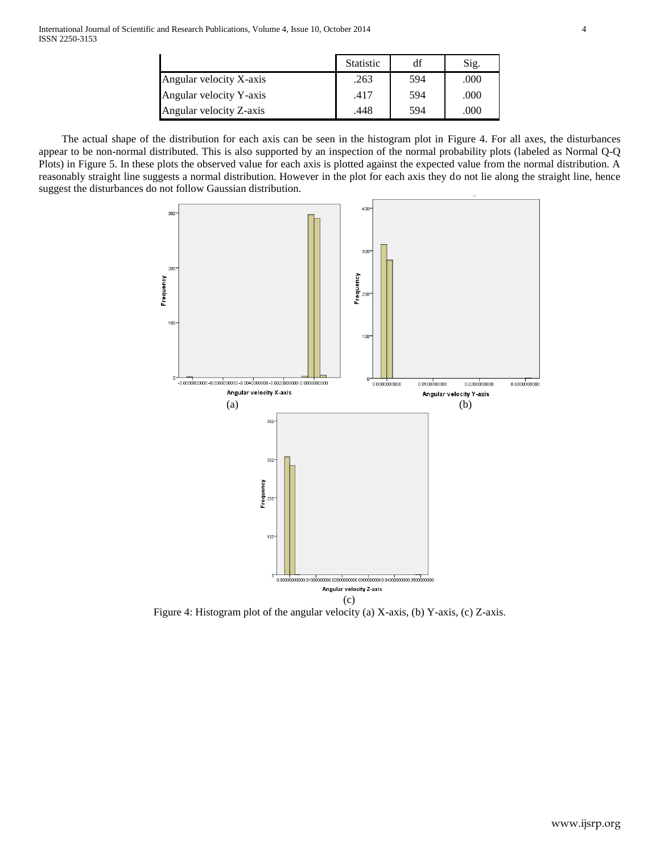|                         | <b>Statistic</b> | df  | Sig. |
|-------------------------|------------------|-----|------|
| Angular velocity X-axis | .263             | 594 | .000 |
| Angular velocity Y-axis | .417             | 594 | .000 |
| Angular velocity Z-axis | .448             | 594 | .000 |

The actual shape of the distribution for each axis can be seen in the histogram plot in Figure 4. For all axes, the disturbances appear to be non-normal distributed. This is also supported by an inspection of the normal probability plots (labeled as Normal Q-Q Plots) in Figure 5. In these plots the observed value for each axis is plotted against the expected value from the normal distribution. A reasonably straight line suggests a normal distribution. However in the plot for each axis they do not lie along the straight line, hence suggest the disturbances do not follow Gaussian distribution.



Figure 4: Histogram plot of the angular velocity (a) X-axis, (b) Y-axis, (c) Z-axis.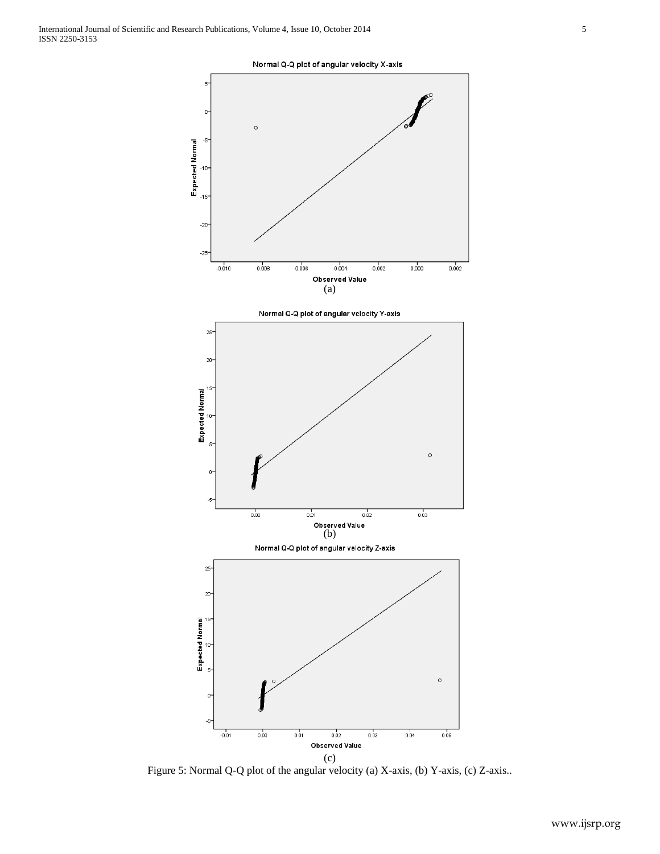

(c)

Figure 5: Normal Q-Q plot of the angular velocity (a) X-axis, (b) Y-axis, (c) Z-axis..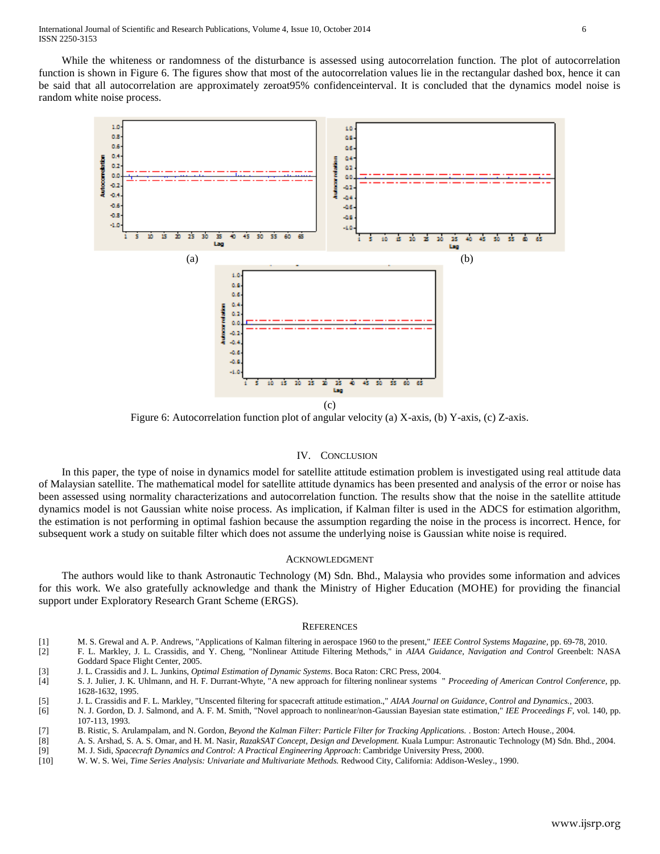While the whiteness or randomness of the disturbance is assessed using autocorrelation function. The plot of autocorrelation function is shown in Figure 6. The figures show that most of the autocorrelation values lie in the rectangular dashed box, hence it can be said that all autocorrelation are approximately zeroat95% confidenceinterval. It is concluded that the dynamics model noise is random white noise process.

![](_page_5_Figure_2.jpeg)

Figure 6: Autocorrelation function plot of angular velocity (a) X-axis, (b) Y-axis, (c) Z-axis.

#### IV. CONCLUSION

In this paper, the type of noise in dynamics model for satellite attitude estimation problem is investigated using real attitude data of Malaysian satellite. The mathematical model for satellite attitude dynamics has been presented and analysis of the error or noise has been assessed using normality characterizations and autocorrelation function. The results show that the noise in the satellite attitude dynamics model is not Gaussian white noise process. As implication, if Kalman filter is used in the ADCS for estimation algorithm, the estimation is not performing in optimal fashion because the assumption regarding the noise in the process is incorrect. Hence, for subsequent work a study on suitable filter which does not assume the underlying noise is Gaussian white noise is required.

#### ACKNOWLEDGMENT

The authors would like to thank Astronautic Technology (M) Sdn. Bhd., Malaysia who provides some information and advices for this work. We also gratefully acknowledge and thank the Ministry of Higher Education (MOHE) for providing the financial support under Exploratory Research Grant Scheme (ERGS).

#### **REFERENCES**

- [1] M. S. Grewal and A. P. Andrews, "Applications of Kalman filtering in aerospace 1960 to the present," *IEEE Control Systems Magazine,* pp. 69-78, 2010.
- [2] F. L. Markley, J. L. Crassidis, and Y. Cheng, "Nonlinear Attitude Filtering Methods," in *AIAA Guidance, Navigation and Control* Greenbelt: NASA Goddard Space Flight Center, 2005.
- [3] J. L. Crassidis and J. L. Junkins, *Optimal Estimation of Dynamic Systems*. Boca Raton: CRC Press, 2004.

[4] S. J. Julier, J. K. Uhlmann, and H. F. Durrant-Whyte, "A new approach for filtering nonlinear systems " *Proceeding of American Control Conference,* pp. 1628-1632, 1995.

- [5] J. L. Crassidis and F. L. Markley, "Unscented filtering for spacecraft attitude estimation.," *AIAA Journal on Guidance, Control and Dynamics.,* 2003.
- [6] N. J. Gordon, D. J. Salmond, and A. F. M. Smith, "Novel approach to nonlinear/non-Gaussian Bayesian state estimation," *IEE Proceedings F,* vol. 140, pp. 107-113, 1993.
- [7] B. Ristic, S. Arulampalam, and N. Gordon, *Beyond the Kalman Filter: Particle Filter for Tracking Applications.* . Boston: Artech House., 2004.
- [8] A. S. Arshad, S. A. S. Omar, and H. M. Nasir, *RazakSAT Concept, Design and Development.* Kuala Lumpur: Astronautic Technology (M) Sdn. Bhd., 2004.
- [9] M. J. Sidi, *Spacecraft Dynamics and Control: A Practical Engineering Approach*: Cambridge University Press, 2000. [10] W. W. S. Wei, *Time Series Analysis: Univariate and Multivariate Methods.* Redwood City, California: Addison-Wesley., 1990.